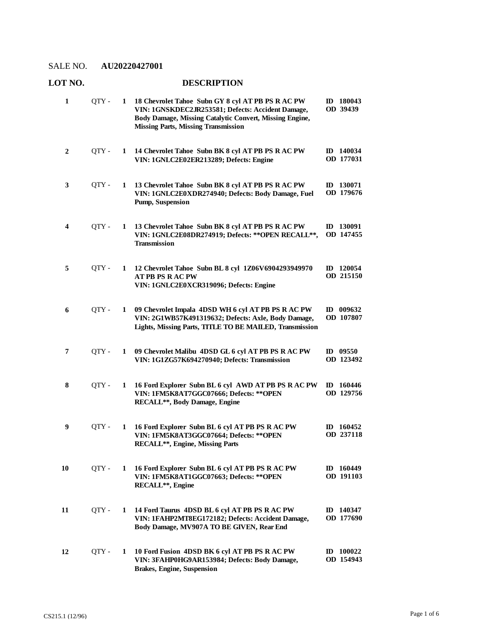# **LOT NO. DESCRIPTION**

| 1  | OTY - | 1 | 18 Chevrolet Tahoe Subn GY 8 cyl AT PB PS R AC PW<br>VIN: 1GNSKDEC2JR253581; Defects: Accident Damage,<br>Body Damage, Missing Catalytic Convert, Missing Engine,<br><b>Missing Parts, Missing Transmission</b> | ID 180043<br>OD 39439         |
|----|-------|---|-----------------------------------------------------------------------------------------------------------------------------------------------------------------------------------------------------------------|-------------------------------|
| 2  | OTY - | 1 | 14 Chevrolet Tahoe Subn BK 8 cyl AT PB PS R AC PW<br>VIN: 1GNLC2E02ER213289; Defects: Engine                                                                                                                    | ID 140034<br>OD 177031        |
| 3  | QTY - | 1 | 13 Chevrolet Tahoe Subn BK 8 cyl AT PB PS R AC PW<br>VIN: 1GNLC2E0XDR274940; Defects: Body Damage, Fuel<br>Pump, Suspension                                                                                     | ID 130071<br>OD 179676        |
| 4  | QTY-  | 1 | 13 Chevrolet Tahoe Subn BK 8 cyl AT PB PS R AC PW<br>VIN: 1GNLC2E08DR274919; Defects: ** OPEN RECALL **,<br><b>Transmission</b>                                                                                 | ID 130091<br>OD 147455        |
| 5  | QTY-  | 1 | 12 Chevrolet Tahoe Subn BL 8 cyl 1Z06V6904293949970<br><b>AT PB PS RAC PW</b><br>VIN: 1GNLC2E0XCR319096; Defects: Engine                                                                                        | ID 120054<br>OD 215150        |
| 6  | QTY - | 1 | 09 Chevrolet Impala 4DSD WH 6 cyl AT PB PS R AC PW<br>VIN: 2G1WB57K491319632; Defects: Axle, Body Damage,<br>Lights, Missing Parts, TITLE TO BE MAILED, Transmission                                            | ID 009632<br>OD 107807        |
| 7  | QTY-  | 1 | 09 Chevrolet Malibu 4DSD GL 6 cyl AT PB PS R AC PW<br>VIN: 1G1ZG57K694270940; Defects: Transmission                                                                                                             | ID $09550$<br>OD 123492       |
| 8  | QTY - | 1 | 16 Ford Explorer Subn BL 6 cyl AWD AT PB PS R AC PW<br>VIN: 1FM5K8AT7GGC07666; Defects: ** OPEN<br>RECALL**, Body Damage, Engine                                                                                | ID 160446<br>OD 129756        |
| 9  | QTY-  | 1 | 16 Ford Explorer Subn BL 6 cyl AT PB PS R AC PW<br>VIN: 1FM5K8AT3GGC07664; Defects: ** OPEN<br><b>RECALL**, Engine, Missing Parts</b>                                                                           | ID 160452<br><b>OD 237118</b> |
| 10 | QTY-  | 1 | 16 Ford Explorer Subn BL 6 cyl AT PB PS R AC PW<br>VIN: 1FM5K8AT1GGC07663; Defects: ** OPEN<br>RECALL**, Engine                                                                                                 | ID 160449<br>OD 191103        |
| 11 | QTY - | 1 | 14 Ford Taurus 4DSD BL 6 cyl AT PB PS R AC PW<br>VIN: 1FAHP2MT8EG172182; Defects: Accident Damage,<br>Body Damage, MV907A TO BE GIVEN, Rear End                                                                 | <b>ID</b> 140347<br>OD 177690 |
| 12 | OTY - | 1 | 10 Ford Fusion 4DSD BK 6 cyl AT PB PS R AC PW<br>VIN: 3FAHP0HG9AR153984; Defects: Body Damage,<br>Brakes, Engine, Suspension                                                                                    | $ID$ 100022<br>OD 154943      |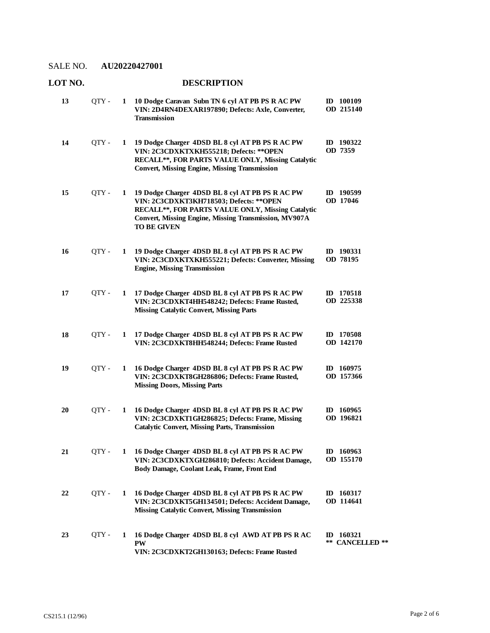| LOT NO. |       |   | <b>DESCRIPTION</b>                                                                                                                                                                                                              |                                          |
|---------|-------|---|---------------------------------------------------------------------------------------------------------------------------------------------------------------------------------------------------------------------------------|------------------------------------------|
| 13      | OTY - |   | 1 10 Dodge Caravan Subn TN 6 cyl AT PB PS R AC PW<br>VIN: 2D4RN4DEXAR197890; Defects: Axle, Converter,<br><b>Transmission</b>                                                                                                   | ID 100109<br>OD 215140                   |
| 14      | QTY - | 1 | 19 Dodge Charger 4DSD BL 8 cyl AT PB PS R AC PW<br>VIN: 2C3CDXKTXKH555218; Defects: ** OPEN<br>RECALL**, FOR PARTS VALUE ONLY, Missing Catalytic<br><b>Convert, Missing Engine, Missing Transmission</b>                        | ID 190322<br>OD 7359                     |
| 15      | QTY - | 1 | 19 Dodge Charger 4DSD BL 8 cyl AT PB PS R AC PW<br>VIN: 2C3CDXKT3KH718503; Defects: ** OPEN<br>RECALL**, FOR PARTS VALUE ONLY, Missing Catalytic<br>Convert, Missing Engine, Missing Transmission, MV907A<br><b>TO BE GIVEN</b> | ID 190599<br>OD 17046                    |
| 16      | QTY - | 1 | 19 Dodge Charger 4DSD BL 8 cyl AT PB PS R AC PW<br>VIN: 2C3CDXKTXKH555221; Defects: Converter, Missing<br><b>Engine, Missing Transmission</b>                                                                                   | ID 190331<br>OD 78195                    |
| 17      | QTY - | 1 | 17 Dodge Charger 4DSD BL 8 cyl AT PB PS R AC PW<br>VIN: 2C3CDXKT4HH548242; Defects: Frame Rusted,<br><b>Missing Catalytic Convert, Missing Parts</b>                                                                            | ID 170518<br>OD 225338                   |
| 18      | QTY - | 1 | 17 Dodge Charger 4DSD BL 8 cyl AT PB PS R AC PW<br>VIN: 2C3CDXKT8HH548244; Defects: Frame Rusted                                                                                                                                | ID 170508<br>OD 142170                   |
| 19      | QTY - | 1 | 16 Dodge Charger 4DSD BL 8 cyl AT PB PS R AC PW<br>VIN: 2C3CDXKT8GH286806; Defects: Frame Rusted,<br><b>Missing Doors, Missing Parts</b>                                                                                        | ID 160975<br>OD 157366                   |
| 20      | QTY-  | 1 | 16 Dodge Charger 4DSD BL 8 cyl AT PB PS R AC PW<br>VIN: 2C3CDXKT1GH286825; Defects: Frame, Missing<br><b>Catalytic Convert, Missing Parts, Transmission</b>                                                                     | ID 160965<br>OD 196821                   |
| 21      | QTY - | 1 | 16 Dodge Charger 4DSD BL 8 cyl AT PB PS R AC PW<br>VIN: 2C3CDXKTXGH286810; Defects: Accident Damage,<br>Body Damage, Coolant Leak, Frame, Front End                                                                             | ID 160963<br>OD 155170                   |
| 22      | QTY - | 1 | 16 Dodge Charger 4DSD BL 8 cyl AT PB PS R AC PW<br>VIN: 2C3CDXKT5GH134501; Defects: Accident Damage,<br><b>Missing Catalytic Convert, Missing Transmission</b>                                                                  | ID $160317$<br>OD 114641                 |
| 23      | QTY - | 1 | 16 Dodge Charger 4DSD BL 8 cyl AWD AT PB PS R AC<br><b>PW</b><br>VIN: 2C3CDXKT2GH130163; Defects: Frame Rusted                                                                                                                  | $ID$ 160321<br>**<br><b>CANCELLED</b> ** |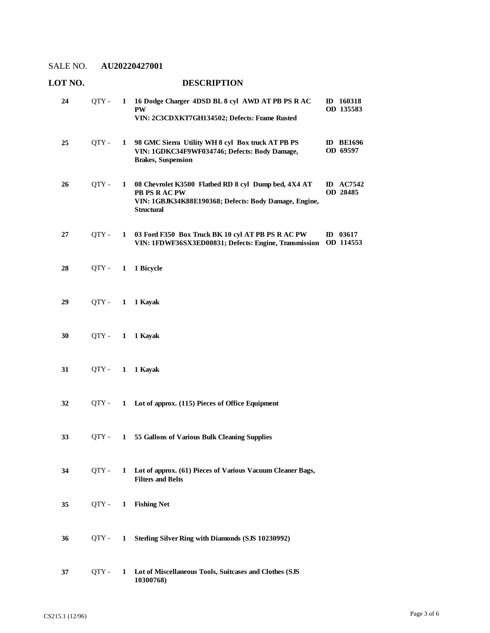| LOT NO. |       |              | <b>DESCRIPTION</b>                                                                                                                                  |                              |  |
|---------|-------|--------------|-----------------------------------------------------------------------------------------------------------------------------------------------------|------------------------------|--|
| 24      | QTY - | 1            | 16 Dodge Charger 4DSD BL 8 cyl AWD AT PB PS R AC<br><b>PW</b><br>VIN: 2C3CDXKT7GH134502; Defects: Frame Rusted                                      | ID 160318<br>OD 135583       |  |
| 25      | QTY-  | $\mathbf{1}$ | 98 GMC Sierra Utility WH 8 cyl Box truck AT PB PS<br>VIN: 1GDKC34F9WF034746; Defects: Body Damage,<br><b>Brakes</b> , Suspension                    | <b>ID BE1696</b><br>OD 69597 |  |
| 26      | QTY - | 1            | 08 Chevrolet K3500 Flatbed RD 8 cyl Dump bed, 4X4 AT<br>PB PS R AC PW<br>VIN: 1GBJK34K88E190368; Defects: Body Damage, Engine,<br><b>Structural</b> | <b>ID</b> AC7542<br>OD 28485 |  |
| 27      | QTY-  | 1            | 03 Ford F350 Box Truck BK 10 cyl AT PB PS R AC PW<br>VIN: 1FDWF36SX3ED00831; Defects: Engine, Transmission                                          | ID $03617$<br>OD 114553      |  |
| 28      | QTY - | $\mathbf{1}$ | 1 Bicycle                                                                                                                                           |                              |  |
| 29      | QTY - | $\mathbf{1}$ | 1 Kayak                                                                                                                                             |                              |  |
| 30      | QTY - | $\mathbf{1}$ | 1 Kayak                                                                                                                                             |                              |  |
| 31      | QTY - | $\mathbf{1}$ | 1 Kayak                                                                                                                                             |                              |  |
| 32      | OTY - | $\mathbf{1}$ | Lot of approx. (115) Pieces of Office Equipment                                                                                                     |                              |  |
| 33      | OTY - | 1            | 55 Gallons of Various Bulk Cleaning Supplies                                                                                                        |                              |  |
| 34      | QTY - | 1            | Lot of approx. (61) Pieces of Various Vacuum Cleaner Bags,<br><b>Filters and Belts</b>                                                              |                              |  |
| 35      | QTY - | 1            | <b>Fishing Net</b>                                                                                                                                  |                              |  |
| 36      | QTY - | 1            | Sterling Silver Ring with Diamonds (SJS 10230992)                                                                                                   |                              |  |
| 37      | QTY-  | 1            | Lot of Miscellaneous Tools, Suitcases and Clothes (SJS<br>10300768)                                                                                 |                              |  |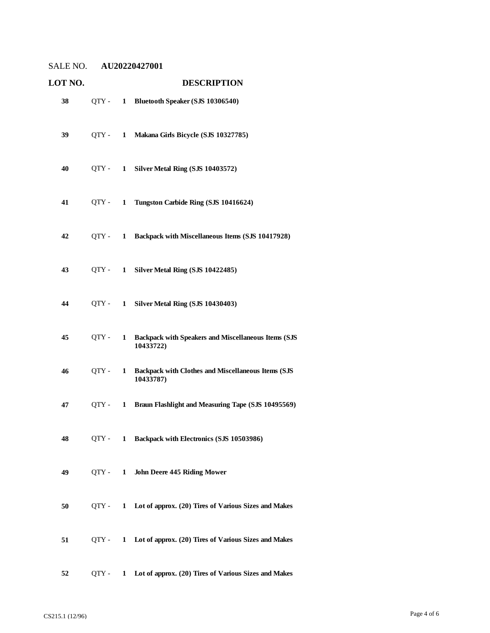| LOT NO. |         |              | <b>DESCRIPTION</b>                                                      |  |  |
|---------|---------|--------------|-------------------------------------------------------------------------|--|--|
| 38      | QTY -   | $\mathbf{1}$ | Bluetooth Speaker (SJS 10306540)                                        |  |  |
| 39      | OTY -   | 1            | Makana Girls Bicycle (SJS 10327785)                                     |  |  |
| 40      | QTY -   | 1            | Silver Metal Ring (SJS 10403572)                                        |  |  |
| 41      | OTY -   | 1            | Tungston Carbide Ring (SJS 10416624)                                    |  |  |
| 42      | OTY -   | $\mathbf{1}$ | Backpack with Miscellaneous Items (SJS 10417928)                        |  |  |
| 43      | $QTY -$ | 1            | Silver Metal Ring (SJS 10422485)                                        |  |  |
| 44      | OTY -   | 1            | Silver Metal Ring (SJS 10430403)                                        |  |  |
| 45      | OTY -   | 1            | <b>Backpack with Speakers and Miscellaneous Items (SJS</b><br>10433722) |  |  |
| 46      | QTY -   | 1            | <b>Backpack with Clothes and Miscellaneous Items (SJS</b><br>10433787)  |  |  |
| 47      | OTY -   | $\mathbf{1}$ | Braun Flashlight and Measuring Tape (SJS 10495569)                      |  |  |
| 48      |         |              | QTY - 1 Backpack with Electronics (SJS 10503986)                        |  |  |
| 49      | QTY-    | $\mathbf{1}$ | John Deere 445 Riding Mower                                             |  |  |
| 50      |         |              | QTY - 1 Lot of approx. (20) Tires of Various Sizes and Makes            |  |  |
| 51      | QTY -   |              | 1 Lot of approx. (20) Tires of Various Sizes and Makes                  |  |  |
| 52      | $QTY -$ |              | 1 Lot of approx. (20) Tires of Various Sizes and Makes                  |  |  |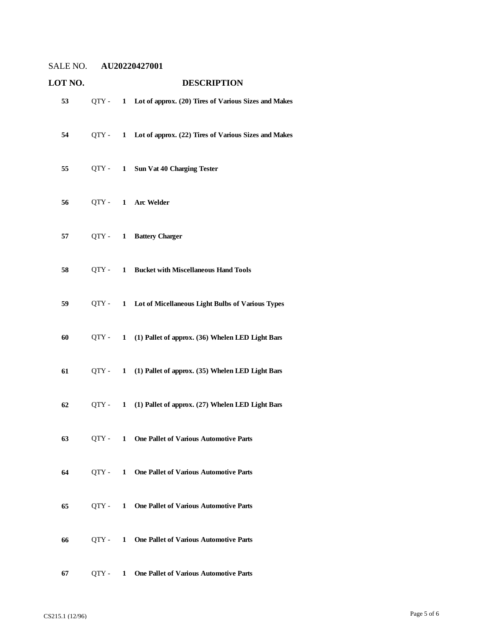| LOT NO. |         |              | <b>DESCRIPTION</b>                                           |
|---------|---------|--------------|--------------------------------------------------------------|
| 53      |         |              | QTY - 1 Lot of approx. (20) Tires of Various Sizes and Makes |
| 54      | $QTY -$ | $\mathbf{1}$ | Lot of approx. (22) Tires of Various Sizes and Makes         |
| 55      | $QTY -$ | $\mathbf{1}$ | <b>Sun Vat 40 Charging Tester</b>                            |
| 56      |         |              | QTY - 1 Arc Welder                                           |
| 57      | $QTY -$ | $\mathbf{1}$ | <b>Battery Charger</b>                                       |
| 58      | OTY -   | 1            | <b>Bucket with Miscellaneous Hand Tools</b>                  |
| 59      | $QTY -$ |              | 1 Lot of Micellaneous Light Bulbs of Various Types           |
| 60      | $QTY -$ | 1            | (1) Pallet of approx. (36) Whelen LED Light Bars             |
| 61      | QTY -   | $\mathbf{1}$ | (1) Pallet of approx. (35) Whelen LED Light Bars             |
| 62      | QTY -   | $\mathbf{1}$ | (1) Pallet of approx. (27) Whelen LED Light Bars             |
| 63      |         |              | QTY - 1 One Pallet of Various Automotive Parts               |
| 64      | OTY -   |              | 1 One Pallet of Various Automotive Parts                     |
| 65      |         |              | QTY - 1 One Pallet of Various Automotive Parts               |
| 66      | OTY -   |              | 1 One Pallet of Various Automotive Parts                     |
| 67      | $QTY -$ | $\mathbf{1}$ | <b>One Pallet of Various Automotive Parts</b>                |